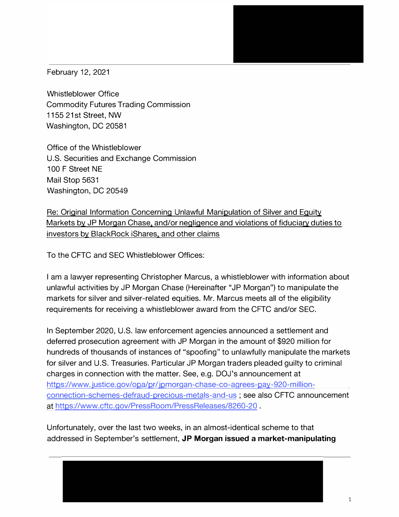February 12, 2021

Whistleblower Office Commodity Futures Trading Commission 1155 21st Street, NW Washington, DC 20581

Office of the Whistleblower U.S. Securities and Exchange Commission 100 F Street NE Mail Stop 5631 Washington, DC 20549

Re: Original Information Concerning Unlawful Manipulation of Silver and Equity Markets by JP Morgan Chase, and/or negligence and violations of fiduciary duties to investors by BlackRock iShares, and other claims

To the CFTC and SEC Whistleblower Offices:

I am a lawyer representing Christopher Marcus, a whistleblower with information about unlawful activities by JP Morgan Chase (Hereinafter "JP Morgan") to manipulate the markets for silver and silver-related equities. Mr. Marcus meets all of the eligibility requirements for receiving a whistleblower award from the CFTC and/or SEC.

In September 2020, U.S. law enforcement agencies announced a settlement and deferred prosecution agreement with JP Morgan in the amount of \$920 million for hundreds of thousands of instances of "spoofing" to unlawfully manipulate the markets for silver and U.S. Treasuries. Particular JP Morgan traders pleaded guilty to criminal charges in connection with the matter. See, e.g. DOJ's announcement at [https://www.justice.gov/opa/pr/jpmorgan-chase-co-agrees-pay-920-million](https://www.justice.gov/opa/pr/jpmorgan-chase-co-agrees-pay-920-million-connection-schemes-defraud-precious-metals-and-us)connection-[schemes-defraud-precious-metals-and-us](https://www.justice.gov/opa/pr/jpmorgan-chase-co-agrees-pay-920-million-connection-schemes-defraud-precious-metals-and-us) ; see also CFTC announcement at <https://www.cftc.gov/PressRoom/PressReleases/8260-20> .

Unfortunately, over the last two weeks, in an almost-identical scheme to that addressed in September's settlement, **JP Morgan issued a market-manipulating**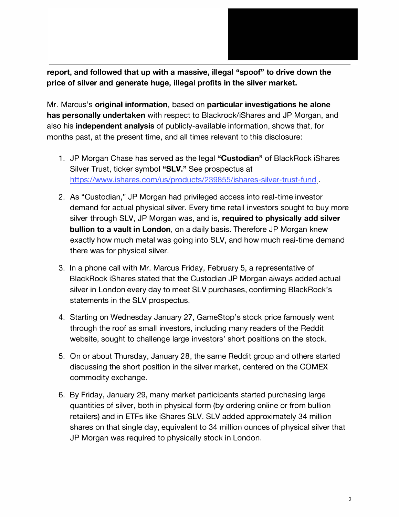

**report, and followed that up with a massive, illegal "spoof" to drive down the price of silver and generate huge, illegal profits in the silver market.** 

Mr. Marcus's **original information,** based on **particular investigations he alone has personally undertaken** with respect to Blackrock/iShares and JP Morgan, and also his **independent analysis** of publicly-available information, shows that, for months past, at the present time, and all times relevant to this disclosure:

- 1. JP Morgan Chase has served as the legal **"Custodian"** of BlackRock iShares Silver Trust, ticker symbol **"SLV."** See prospectus at <https://www.ishares.com/us/products/239855/ishares-silver-trust-fund>.
- 2. As "Custodian," JP Morgan had privileged access into real-time investor demand for actual physical silver. Every time retail investors sought to buy more silver through SLV, JP Morgan was, and is, **required to physically add silver bullion to a vault in London,** on a daily basis. Therefore JP Morgan knew exactly how much metal was going into SLV, and how much real-time demand there was for physical silver.
- 3. In a phone call with Mr. Marcus Friday, February 5, a representative of BlackRock iShares stated that the Custodian JP Morgan always added actual silver in London every day to meet SLV purchases, confirming BlackRock's statements in the SLV prospectus.
- 4. Starting on Wednesday January 27, GameStop's stock price famously went through the roof as small investors, including many readers of the Reddit website, sought to challenge large investors' short positions on the stock.
- 5. On or about Thursday, January 28, the same Reddit group and others started discussing the short position in the silver market, centered on the COMEX commodity exchange.
- 6. By Friday, January 29, many market participants started purchasing large quantities of silver, both in physical form (by ordering online or from bullion retailers) and in ETFs like iShares SLV. SLV added approximately 34 million shares on that single day, equivalent to 34 million ounces of physical silver that JP Morgan was required to physically stock in London.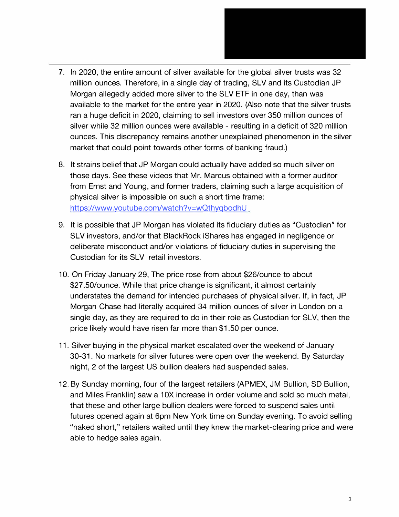

- 7. In 2020, the entire amount of silver available for the global silver trusts was 32 million ounces. Therefore, in a single day of trading, SLV and its Custodian JP Morgan allegedly added more silver to the SLV ETF in one day, than was available to the market for the entire year in 2020. (Also note that the silver trusts ran a huge deficit in 2020, claiming to sell investors over 350 million ounces of silver while 32 million ounces were available - resulting in a deficit of 320 million ounces. This discrepancy remains another unexplained phenomenon in the silver market that could point towards other forms of banking fraud.)
- 8. It strains belief that JP Morgan could actually have added so much silver on those days. See these videos that Mr. Marcus obtained with a former auditor from Ernst and Young, and former traders, claiming such a large acquisition of physical silver is impossible on such a short time frame: [https://www.youtube.com/watch?v=w](https://www.youtube.com/watch?v=wQthyqbodhU)QthyqbodhU
- 9. It is possible that JP Morgan has violated its fiduciary duties as "Custodian" for SLV investors, and/or that BlackRock iShares has engaged in negligence or deliberate misconduct and/or violations of fiduciary duties in supervising the Custodian for its SLV retail investors.
- 10. On Friday January 29, The price rose from about \$26/ounce to about \$27 .50/ounce. While that price change is significant, it almost certainly understates the demand for intended purchases of physical silver. If, in fact, JP Morgan Chase had literally acquired 34 million ounces of silver in London on a single day, as they are required to do in their role as Custodian for SLV, then the price likely would have risen far more than \$1.50 per ounce.
- 11. Silver buying in the physical market escalated over the weekend of January 30-31. No markets for silver futures were open over the weekend. By Saturday night, 2 of the largest US bullion dealers had suspended sales.
- 12. By Sunday morning, four of the largest retailers (APMEX, JM Bullion, SD Bullion, and Miles Franklin) saw a 10X increase in order volume and sold so much metal, that these and other large bullion dealers were forced to suspend sales until futures opened again at 6pm New York time on Sunday evening. To avoid selling "naked short," retailers waited until they knew the market-clearing price and were able to hedge sales again.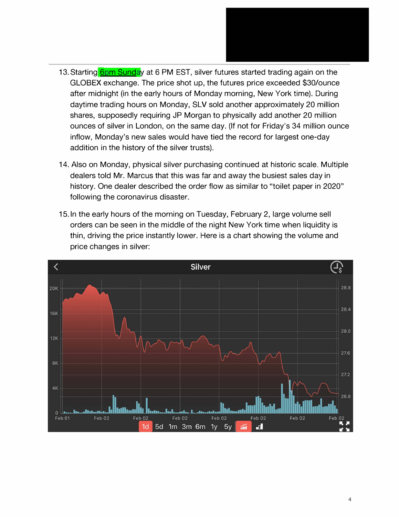- 13. Starting **6pm Sunday** at 6 PM EST, silver futures started trading again on the GLOBEX exchange. The price shot up, the futures price exceeded \$30/ounce after midnight (in the early hours of Monday morning, New York time). During daytime trading hours on Monday, SLV sold another approximately 20 million shares, supposedly requiring JP Morgan to physically add another 20 million ounces of silver in London, on the same day. (If not for Friday's 34 million ounce inflow, Monday's new sales would have tied the record for largest one-day addition in the history of the silver trusts).
- 14. Also on Monday, physical silver purchasing continued at historic scale. Multiple dealers told Mr. Marcus that this was far and away the busiest sales day in history. One dealer described the order flow as similar to "toilet paper in 2020" following the coronavirus disaster.
- 15. In the early hours of the morning on Tuesday, February 2, large volume sell orders can be seen in the middle of the night New York time when liquidity is thin, driving the price instantly lower. Here is a chart showing the volume and price changes in silver:

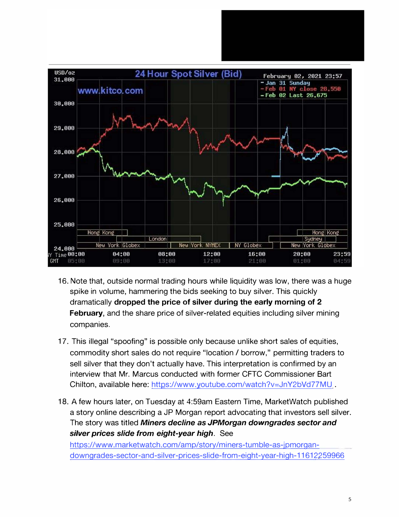

- 16. Note that, outside normal trading hours while liquidity was low, there was a huge spike in volume, hammering the bids seeking to buy silver. This quickly dramatically **dropped the price of silver during the early morning of 2 February**, and the share price of silver-related equities including silver mining companies.
- 17. This illegal "spoofing" is possible only because unlike short sales of equities, commodity short sales do not require "location *I* borrow," permitting traders to sell silver that they don't actually have. This interpretation is confirmed by an interview that Mr. Marcus conducted with former CFTC Commissioner Bart Chilton, available here: <https://www.youtube.com/watch?v=JnY2bVd77MU>
- 18. A few hours later, on Tuesday at 4:59am Eastern Time, MarketWatch published a story online describing a JP Morgan report advocating that investors sell silver. The story was titled *Miners decline as JPMorgan downgrades sector and silver prices slide from eight-year high.* See

[https://www.marketwatch.com/amp/story/miners-tumble-as-jpm](https://www.marketwatch.com/amp/story/miners-tumble-as-jpmorgan-downgrades-sector-and-silver-prices-slide-from-eight-year-high-11612259966)organ[downgrades-sector-and-silver-prices-slide-from-eight-year-high-11612259966](https://www.marketwatch.com/amp/story/miners-tumble-as-jpmorgan-downgrades-sector-and-silver-prices-slide-from-eight-year-high-11612259966)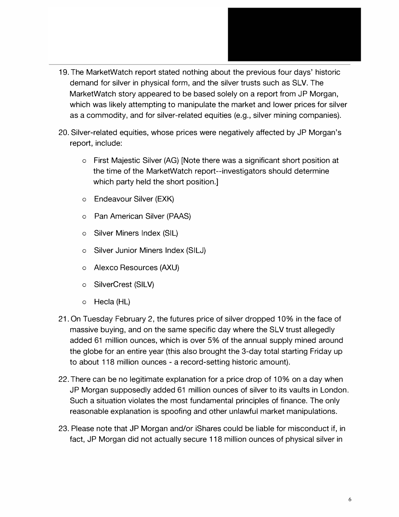- 
- 19. The MarketWatch report stated nothing about the previous four days' historic demand for silver in physical form, and the silver trusts such as SLV. The MarketWatch story appeared to be based solely on a report from JP Morgan, which was likely attempting to manipulate the market and lower prices for silver as a commodity, and for silver-related equities (e.g., silver mining companies).
- 20. Silver-related equities, whose prices were negatively affected by JP Morgan's report, include:
	- o First Majestic Silver (AG) [Note there was a significant short position at the time of the MarketWatch report--investigators should determine which party held the short position.]
	- o Endeavour Silver (EXK)
	- o Pan American Silver (PAAS)
	- o Silver Miners Index (SIL)
	- o Silver Junior Miners Index {SILJ)
	- o Alexco Resources {AXU)
	- o SilverCrest (SILV)
	- o Hecla (HL)
- 21. On Tuesday February 2, the futures price of silver dropped 10% in the face of massive buying, and on the same specific day where the SLV trust allegedly added 61 million ounces, which is over 5% of the annual supply mined around the globe for an entire year (this also brought the 3-day total starting Friday up to about 118 million ounces - a record-setting historic amount).
- 22.There can be no legitimate explanation for a price drop of 10% on a day when JP Morgan supposedly added 61 million ounces of silver to its vaults in London. Such a situation violates the most fundamental principles of finance. The only reasonable explanation is spoofing and other unlawful market manipulations.
- 23. Please note that JP Morgan and/or iShares could be liable for misconduct if, in fact, JP Morgan did not actually secure 118 million ounces of physical silver in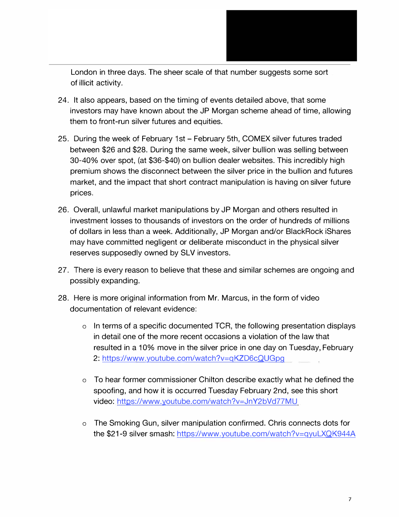

London in three days. The sheer scale of that number suggests some sort of illicit activity.

- 24. It also appears, based on the timing of events detailed above, that some investors may have known about the JP Morgan scheme ahead of time, allowing them to front-run silver futures and equities.
- 25. During the week of February 1st February 5th, COMEX silver futures traded between \$26 and \$28. During the same week, silver bullion was selling between 30-40% over spot, (at \$36-\$40) on bullion dealer websites. This incredibly high premium shows the disconnect between the silver price in the bullion and futures market, and the impact that short contract manipulation is having on silver future prices.
- 26. Overall, unlawful market manipulations by JP Morgan and others resulted in investment losses to thousands of investors on the order of hundreds of millions of dollars in less than a week. Additionally, JP Morgan and/or BlackRock iShares may have committed negligent or deliberate misconduct in the physical silver reserves supposedly owned by SLV investors.
- 27. There is every reason to believe that these and similar schemes are ongoing and possibly expanding.
- 28. Here is more original information from Mr. Marcus, in the form of video documentation of relevant evidence:
	- o In terms of a specific documented TCR, the following presentation displays in detail one of the more recent occasions a violation of the law that resulted in a 10% move in the silver price in one day on Tuesday, February 2: https://w[ww.youtube.com/watch?v=qKZD6cQUGpg](https://www.youtube.com/watch?v=qKZD6cQUGpg)
	- o To hear former commissioner Chilton describe exactly what he defined the spoofing, and how it is occurred Tuesday February 2nd, see this short video:<https://www.youtube.com/watch?v=JnY2bVd77MU>
	- o The Smoking Gun, silver manipulation confirmed. Chris connects dots for the \$21-9 silver smash: <https://www.youtube.com/watch?v=qyuLXQK944A>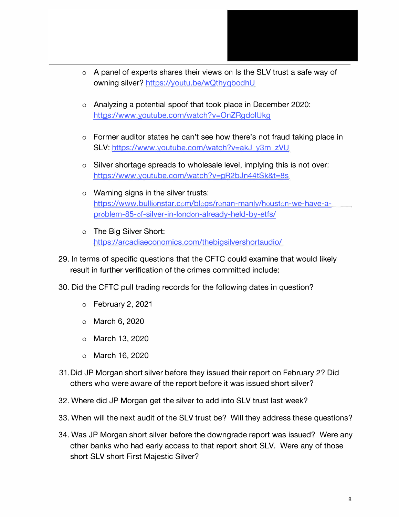

- o A panel of experts shares their views on Is the SLV trust a safe way of owning silver? <https://youtu.be/wQthyqbodhU>
- o Analyzing a potential spoof that took place in December 2020: <https://www.youtube.com/watch?v=OnZRgdolUkg>
- o Former auditor states he can't see how there's not fraud taking place in SLV: <https://www.youtube.com/watch?v=akJ> y3m zVU
- o Silver shortage spreads to wholesale level, implying this is not over: <https://www.youtube.com/watch?v=pR2bJn44tSk&t=8s>
- o Warning signs in the silver trusts: [https://www.bullionstar.com/blogs/ronan-manly/houston-we-have-a](https://www.bullionstar.com/blogs/ronan-manly/houston-we-have-a-problem-85-of-silver-in-london-already-held-by-etfs/)problem-[85-of-silver-in-london-already-held-by-etfs/](https://www.bullionstar.com/blogs/ronan-manly/houston-we-have-a-problem-85-of-silver-in-london-already-held-by-etfs/)
- o The Big Silver Short: <https://arcadiaeconomics.com/thebigsilvershortaudio/>
- 29. In terms of specific questions that the CFTC could examine that would likely result in further verification of the crimes committed include:
- 30. Did the CFTC pull trading records for the following dates in question?
	- o February 2, 2021
	- o March 6, 2020
	- o March 13, 2020
	- o March 16, 2020
- 31.Did JP Morgan short silver before they issued their report on February 2? Did others who were aware of the report before it was issued short silver?
- 32. Where did JP Morgan get the silver to add into SLV trust last week?
- 33. When will the next audit of the SLV trust be? Will they address these questions?
- 34. Was JP Morgan short silver before the downgrade report was issued? Were any other banks who had early access to that report short SLV. Were any of those short SLV short First Majestic Silver?